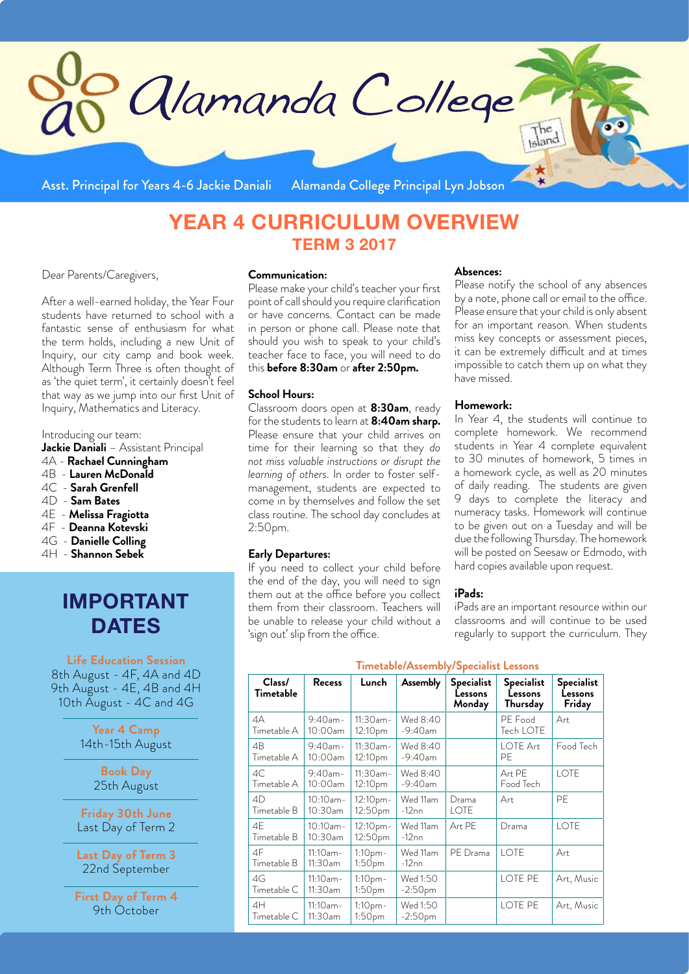

Asst. Principal for Years 4-6 Jackie Daniali Alamanda College Principal Lyn Jobson

# **YEAR 4 CURRICULUM OVERVIEW TERM 3 2017**

Dear Parents/Caregivers,

After a well-earned holiday, the Year Four students have returned to school with a fantastic sense of enthusiasm for what the term holds, including a new Unit of Inquiry, our city camp and book week. Although Term Three is often thought of as 'the quiet term', it certainly doesn't feel that way as we jump into our first Unit of Inquiry, Mathematics and Literacy.

Introducing our team:

**Jackie Daniali** – Assistant Principal

- 4A **Rachael Cunningham**
- 4B **Lauren McDonald**
- 4C **Sarah Grenfell**
- 4D - **Sam Bates**
- 4E **Melissa Fragiotta**
- 4F **Deanna Kotevski**
- 4G **Danielle Colling**
- 4H **Shannon Sebek**

# **IMPORTANT DATES**

**Life Education Session**

8th August - 4F, 4A and 4D 9th August - 4E, 4B and 4H 10th August - 4C and 4G

> **Year 4 Camp** 14th-15th August

> > **Book Day** 25th August

**Friday 30th June** Last Day of Term 2

**Last Day of Term 3** 22nd September

**First Day of Term 4** 9th October

#### **Communication:**

Please make your child's teacher your first point of call should you require clarification or have concerns. Contact can be made in person or phone call. Please note that should you wish to speak to your child's teacher face to face, you will need to do this **before 8:30am** or **after 2:50pm.**

#### **School Hours:**

Classroom doors open at **8:30am**, ready for the students to learn at **8:40am sharp.**  Please ensure that your child arrives on time for their learning so that they *do not miss valuable instructions or disrupt the learning of others*. In order to foster selfmanagement, students are expected to come in by themselves and follow the set class routine. The school day concludes at 2:50pm.

#### **Early Departures:**

If you need to collect your child before the end of the day, you will need to sign them out at the office before you collect them from their classroom. Teachers will be unable to release your child without a 'sign out' slip from the office.

#### **Absences:**

Please notify the school of any absences by a note, phone call or email to the office. Please ensure that your child is only absent for an important reason. When students miss key concepts or assessment pieces, it can be extremely difficult and at times impossible to catch them up on what they have missed.

#### **Homework:**

In Year 4, the students will continue to complete homework. We recommend students in Year 4 complete equivalent to 30 minutes of homework, 5 times in a homework cycle, as well as 20 minutes of daily reading. The students are given days to complete the literacy and numeracy tasks. Homework will continue to be given out on a Tuesday and will be due the following Thursday. The homework will be posted on Seesaw or Edmodo, with hard copies available upon request.

#### **iPads:**

iPads are an important resource within our classrooms and will continue to be used regularly to support the curriculum. They

# **Timetable/Assembly/Specialist Lessons**

| Class/<br>Timetable | <b>Recess</b>             | Lunch                              | <b>Assembly</b>        | <b>Specialist</b><br>Lessons<br>Monday | <b>Specialist</b><br>Lessons<br>Thursday | <b>Specialist</b><br>Lessons<br>Friday |  |  |
|---------------------|---------------------------|------------------------------------|------------------------|----------------------------------------|------------------------------------------|----------------------------------------|--|--|
| 4A<br>Timetable A   | $9:40$ am-<br>$10:00$ am  | $11:30$ am-<br>12:10pm             | Wed 8:40<br>$-9:40$ am |                                        | PE Food<br>Tech LOTE                     | Art                                    |  |  |
| 4B<br>Timetable A   | $9:40$ am-<br>10:00am     | $11:30$ am-<br>12:10 <sub>pm</sub> | Wed 8:40<br>$-9:40$ am |                                        | <b>LOTE Art</b><br>PE                    | Food Tech                              |  |  |
| AC<br>Timetable A   | $9:40$ am-<br>10:00am     | $11:30$ am-<br>12:10pm             | Wed 8:40<br>$-9:40$ am |                                        | Art PE<br>Food Tech                      | <b>LOTE</b>                            |  |  |
| 4D<br>Timetable B   | $10:10$ am-<br>10:30am    | 12:10 <sub>pm</sub><br>12:50pm     | Wed 11am<br>$-12nn$    | Drama<br><b>LOTE</b>                   | Art                                      | PF                                     |  |  |
| 4F<br>Timetable B   | $10:10$ am-<br>$10:30$ am | 12:10pm-<br>12:50pm                | Wed 11am<br>$-12nn$    | Art PE                                 | Drama                                    | LOTE                                   |  |  |
| 4F<br>Timetable B   | $11:10$ am-<br>11:30am    | 1:10pm-<br>1:50 <sub>pm</sub>      | Wed 11am<br>$-12nn$    | PE Drama                               | LOTE                                     | Art                                    |  |  |
| 4G<br>Timetable C   | $11:10$ am-<br>$11:30$ am | 1:10pm-<br>1:50pm                  | Wed 1:50<br>$-2:50$ pm |                                        | LOTE PE                                  | Art, Music                             |  |  |
| 4H<br>Timetable C   | $11:10$ am-<br>11:30am    | 1:10pm-<br>1:50pm                  | Wed 1:50<br>$-2:50$ pm |                                        | LOTE PE                                  | Art, Music                             |  |  |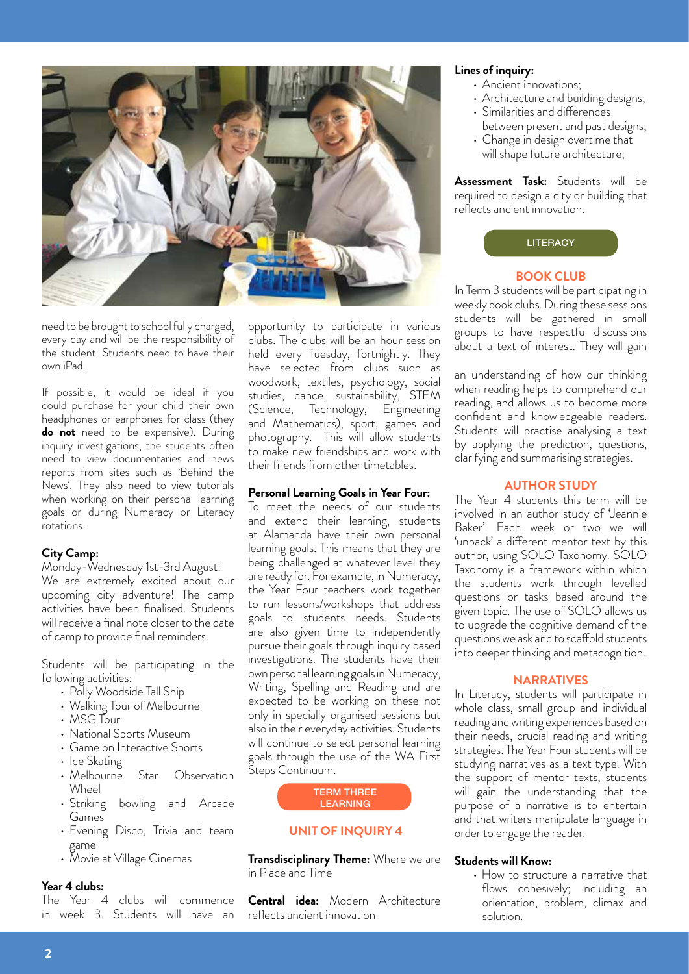

need to be brought to school fully charged, every day and will be the responsibility of the student. Students need to have their own iPad.

If possible, it would be ideal if you could purchase for your child their own headphones or earphones for class (they **do not** need to be expensive). During inquiry investigations, the students often need to view documentaries and news reports from sites such as 'Behind the News'. They also need to view tutorials when working on their personal learning goals or during Numeracy or Literacy rotations.

# **City Camp:**

Monday-Wednesday 1st-3rd August: We are extremely excited about our upcoming city adventure! The camp activities have been finalised. Students will receive a final note closer to the date of camp to provide final reminders.

Students will be participating in the following activities:

- Polly Woodside Tall Ship
- Walking Tour of Melbourne
- MSG Tour
- National Sports Museum
- Game on Interactive Sports
- $\cdot$  Ice Skating
- Melbourne Star Observation Wheel
- Striking bowling and Arcade Games
- Evening Disco, Trivia and team game
- Movie at Village Cinemas

# **Year 4 clubs:**

The Year 4 clubs will commence in week 3. Students will have an opportunity to participate in various clubs. The clubs will be an hour session held every Tuesday, fortnightly. They have selected from clubs such as woodwork, textiles, psychology, social studies, dance, sustainability, STEM (Science, Technology, Engineering and Mathematics), sport, games and photography. This will allow students to make new friendships and work with their friends from other timetables.

## **Personal Learning Goals in Year Four:**

To meet the needs of our students and extend their learning, students at Alamanda have their own personal learning goals. This means that they are being challenged at whatever level they are ready for. For example, in Numeracy, the Year Four teachers work together to run lessons/workshops that address goals to students needs. Students are also given time to independently pursue their goals through inquiry based investigations. The students have their own personal learning goals in Numeracy, Writing, Spelling and Reading and are expected to be working on these not only in specially organised sessions but also in their everyday activities. Students will continue to select personal learning goals through the use of the WA First Steps Continuum.



### **UNIT OF INQUIRY 4**

**Transdisciplinary Theme:** Where we are in Place and Time

**Central idea:** Modern Architecture reflects ancient innovation

# **Lines of inquiry:**

- Ancient innovations;
- Architecture and building designs;
- • Similarities and differences
- between present and past designs; • Change in design overtime that
- will shape future architecture;

**Assessment Task:** Students will be required to design a city or building that reflects ancient innovation.



#### **BOOK CLUB**

In Term 3 students will be participating in weekly book clubs. During these sessions students will be gathered in small groups to have respectful discussions about a text of interest. They will gain

an understanding of how our thinking when reading helps to comprehend our reading, and allows us to become more confident and knowledgeable readers. Students will practise analysing a text by applying the prediction, questions, clarifying and summarising strategies.

#### **AUTHOR STUDY**

The Year 4 students this term will be involved in an author study of 'Jeannie Baker'. Each week or two we will 'unpack' a different mentor text by this author, using SOLO Taxonomy. SOLO Taxonomy is a framework within which the students work through levelled questions or tasks based around the given topic. The use of SOLO allows us to upgrade the cognitive demand of the questions we ask and to scaffold students into deeper thinking and metacognition.

#### **NARRATIVES**

In Literacy, students will participate in whole class, small group and individual reading and writing experiences based on their needs, crucial reading and writing strategies. The Year Four students will be studying narratives as a text type. With the support of mentor texts, students will gain the understanding that the purpose of a narrative is to entertain and that writers manipulate language in order to engage the reader.

#### **Students will Know:**

• How to structure a narrative that flows cohesively; including an orientation, problem, climax and solution.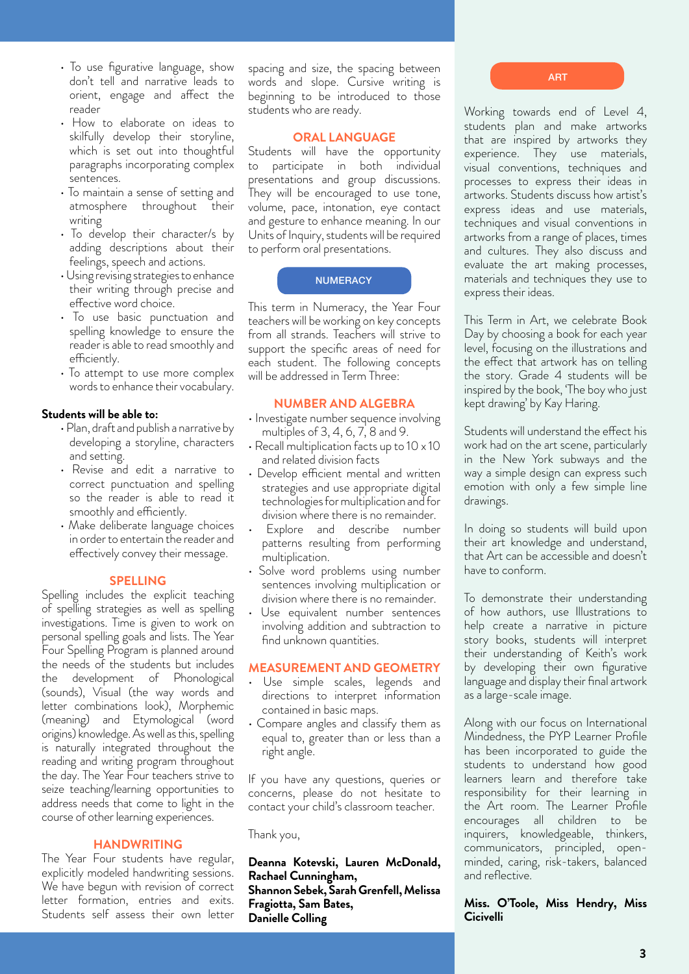- To use figurative language, show don't tell and narrative leads to orient, engage and affect the reader
- How to elaborate on ideas to skilfully develop their storyline, which is set out into thoughtful paragraphs incorporating complex sentences.
- To maintain a sense of setting and atmosphere throughout their writing
- To develop their character/s by adding descriptions about their feelings, speech and actions.
- •Using revising strategiestoenhance their writing through precise and effective word choice.
- To use basic punctuation and spelling knowledge to ensure the reader is able to read smoothly and efficiently.
- To attempt to use more complex words to enhance their vocabulary.

# **Students will be able to:**

- •Plan, draft and publish a narrative by developing a storyline, characters and setting.
- Revise and edit a narrative to correct punctuation and spelling so the reader is able to read it smoothly and efficiently.
- Make deliberate language choices in order to entertain the reader and effectively convey their message.

#### **SPELLING**

Spelling includes the explicit teaching of spelling strategies as well as spelling investigations. Time is given to work on personal spelling goals and lists. The Year Four Spelling Program is planned around the needs of the students but includes the development of Phonological (sounds), Visual (the way words and letter combinations look), Morphemic (meaning) and Etymological (word origins) knowledge. As well as this, spelling is naturally integrated throughout the reading and writing program throughout the day. The Year Four teachers strive to seize teaching/learning opportunities to address needs that come to light in the course of other learning experiences.

#### **HANDWRITING**

The Year Four students have regular, explicitly modeled handwriting sessions. We have begun with revision of correct letter formation, entries and exits. Students self assess their own letter

spacing and size, the spacing between words and slope. Cursive writing is beginning to be introduced to those students who are ready.

#### **ORAL LANGUAGE**

Students will have the opportunity to participate in both individual presentations and group discussions. They will be encouraged to use tone, volume, pace, intonation, eye contact and gesture to enhance meaning. In our Units of Inquiry, students will be required to perform oral presentations.

#### **NUMERACY**

This term in Numeracy, the Year Four teachers will be working on key concepts from all strands. Teachers will strive to support the specific areas of need for each student. The following concepts will be addressed in Term Three:

#### **NUMBER AND ALGEBRA**

- Investigate number sequence involving multiples of 3, 4, 6, 7, 8 and 9.
- Recall multiplication facts up to 10 x 10 and related division facts
- Develop efficient mental and written strategies and use appropriate digital technologies for multiplication and for division where there is no remainder.
- Explore and describe number patterns resulting from performing multiplication.
- Solve word problems using number sentences involving multiplication or division where there is no remainder.
- Use equivalent number sentences involving addition and subtraction to find unknown quantities.

#### **MEASUREMENT AND GEOMETRY**

- Use simple scales, legends and directions to interpret information contained in basic maps.
- Compare angles and classify them as equal to, greater than or less than a right angle.

If you have any questions, queries or concerns, please do not hesitate to contact your child's classroom teacher.

Thank you,

**Deanna Kotevski, Lauren McDonald, Rachael Cunningham, Shannon Sebek, Sarah Grenfell, Melissa Fragiotta, Sam Bates, Danielle Colling**

ART

Working towards end of Level 4, students plan and make artworks that are inspired by artworks they experience. They use materials, visual conventions, techniques and processes to express their ideas in artworks. Students discuss how artist's express ideas and use materials, techniques and visual conventions in artworks from a range of places, times and cultures. They also discuss and evaluate the art making processes, materials and techniques they use to express their ideas.

This Term in Art, we celebrate Book Day by choosing a book for each year level, focusing on the illustrations and the effect that artwork has on telling the story. Grade 4 students will be inspired by the book, 'The boy who just kept drawing' by Kay Haring.

Students will understand the effect his work had on the art scene, particularly in the New York subways and the way a simple design can express such emotion with only a few simple line drawings.

In doing so students will build upon their art knowledge and understand, that Art can be accessible and doesn't have to conform.

To demonstrate their understanding of how authors, use Illustrations to help create a narrative in picture story books, students will interpret their understanding of Keith's work by developing their own figurative language and display their final artwork as a large-scale image.

Along with our focus on International Mindedness, the PYP Learner Profile has been incorporated to guide the students to understand how good learners learn and therefore take responsibility for their learning in the Art room. The Learner Profile encourages all children to be inquirers, knowledgeable, thinkers, communicators, principled, openminded, caring, risk-takers, balanced and reflective.

#### **Miss. O'Toole, Miss Hendry, Miss Cicivelli**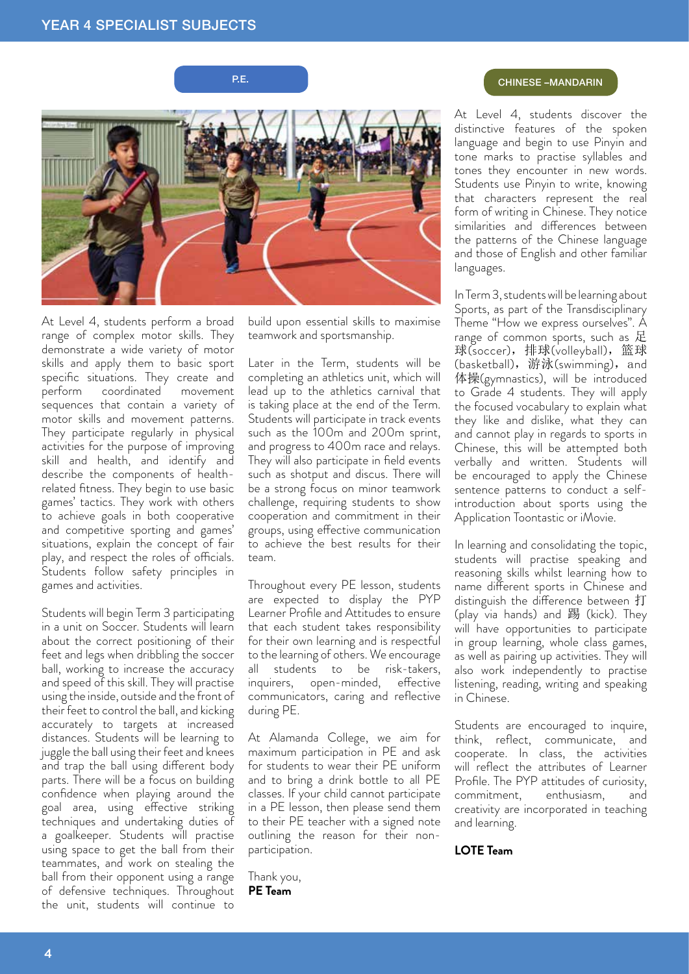

At Level 4, students perform a broad range of complex motor skills. They demonstrate a wide variety of motor skills and apply them to basic sport specific situations. They create and<br>perform coordinated movement coordinated movement sequences that contain a variety of motor skills and movement patterns. They participate regularly in physical activities for the purpose of improving skill and health, and identify and describe the components of healthrelated fitness. They begin to use basic games' tactics. They work with others to achieve goals in both cooperative and competitive sporting and games' situations, explain the concept of fair play, and respect the roles of officials. Students follow safety principles in games and activities.

Students will begin Term 3 participating in a unit on Soccer. Students will learn about the correct positioning of their feet and legs when dribbling the soccer ball, working to increase the accuracy and speed of this skill. They will practise using the inside, outside and the front of their feet to control the ball, and kicking accurately to targets at increased distances. Students will be learning to juggle the ball using their feet and knees and trap the ball using different body parts. There will be a focus on building confidence when playing around the goal area, using effective striking techniques and undertaking duties of a goalkeeper. Students will practise using space to get the ball from their teammates, and work on stealing the ball from their opponent using a range of defensive techniques. Throughout the unit, students will continue to

build upon essential skills to maximise teamwork and sportsmanship.

Later in the Term, students will be completing an athletics unit, which will lead up to the athletics carnival that is taking place at the end of the Term. Students will participate in track events such as the 100m and 200m sprint, and progress to 400m race and relays. They will also participate in field events such as shotput and discus. There will be a strong focus on minor teamwork challenge, requiring students to show cooperation and commitment in their groups, using effective communication to achieve the best results for their team.

Throughout every PE lesson, students are expected to display the PYP Learner Profile and Attitudes to ensure that each student takes responsibility for their own learning and is respectful to the learning of others. We encourage all students to be risk-takers, inquirers, open-minded, effective communicators, caring and reflective during PE.

At Alamanda College, we aim for maximum participation in PE and ask for students to wear their PE uniform and to bring a drink bottle to all PE classes. If your child cannot participate in a PE lesson, then please send them to their PE teacher with a signed note outlining the reason for their nonparticipation.

Thank you, **PE Team**

# P.E. **P.E.** CHINESE –MANDARIN

At Level 4, students discover the distinctive features of the spoken language and begin to use Pinyin and tone marks to practise syllables and tones they encounter in new words. Students use Pinyin to write, knowing that characters represent the real form of writing in Chinese. They notice similarities and differences between the patterns of the Chinese language and those of English and other familiar languages.

In Term 3, students will be learning about Sports, as part of the Transdisciplinary Theme "How we express ourselves". A range of common sports, such as 足 球(soccer), 排球(volleyball), 篮球 (basketball), 游泳(swimming), and 体操(gymnastics), will be introduced to Grade 4 students. They will apply the focused vocabulary to explain what they like and dislike, what they can and cannot play in regards to sports in Chinese, this will be attempted both verbally and written. Students will be encouraged to apply the Chinese sentence patterns to conduct a selfintroduction about sports using the Application Toontastic or iMovie.

In learning and consolidating the topic, students will practise speaking and reasoning skills whilst learning how to name different sports in Chinese and distinguish the difference between 打 (play via hands) and 踢 (kick). They will have opportunities to participate in group learning, whole class games, as well as pairing up activities. They will also work independently to practise listening, reading, writing and speaking in Chinese.

Students are encouraged to inquire, think, reflect, communicate, and cooperate. In class, the activities will reflect the attributes of Learner Profile. The PYP attitudes of curiosity, commitment, enthusiasm, and creativity are incorporated in teaching and learning.

**LOTE Team**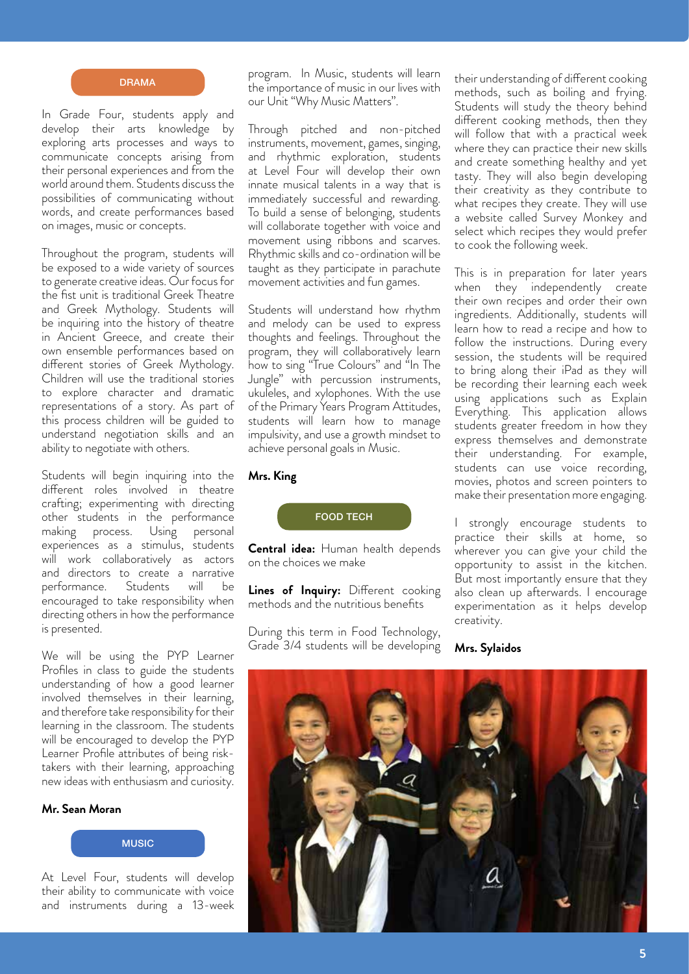

In Grade Four, students apply and develop their arts knowledge by exploring arts processes and ways to communicate concepts arising from their personal experiences and from the world around them. Students discuss the possibilities of communicating without words, and create performances based on images, music or concepts.

Throughout the program, students will be exposed to a wide variety of sources to generate creative ideas. Our focus for the fist unit is traditional Greek Theatre and Greek Mythology. Students will be inquiring into the history of theatre in Ancient Greece, and create their own ensemble performances based on different stories of Greek Mythology. Children will use the traditional stories to explore character and dramatic representations of a story. As part of this process children will be guided to understand negotiation skills and an ability to negotiate with others.

Students will begin inquiring into the different roles involved in theatre crafting; experimenting with directing other students in the performance making process. Using personal experiences as a stimulus, students will work collaboratively as actors and directors to create a narrative performance. Students will be encouraged to take responsibility when directing others in how the performance is presented.

We will be using the PYP Learner Profiles in class to guide the students understanding of how a good learner involved themselves in their learning, and therefore take responsibility for their learning in the classroom. The students will be encouraged to develop the PYP Learner Profile attributes of being risktakers with their learning, approaching new ideas with enthusiasm and curiosity.

#### **Mr. Sean Moran**



At Level Four, students will develop their ability to communicate with voice and instruments during a 13-week program. In Music, students will learn the importance of music in our lives with our Unit "Why Music Matters".

Through pitched and non-pitched instruments, movement, games, singing, and rhythmic exploration, students at Level Four will develop their own innate musical talents in a way that is immediately successful and rewarding. To build a sense of belonging, students will collaborate together with voice and movement using ribbons and scarves. Rhythmic skills and co-ordination will be taught as they participate in parachute movement activities and fun games.

Students will understand how rhythm and melody can be used to express thoughts and feelings. Throughout the program, they will collaboratively learn how to sing "True Colours" and "In The Jungle" with percussion instruments, ukuleles, and xylophones. With the use of the Primary Years Program Attitudes, students will learn how to manage impulsivity, and use a growth mindset to achieve personal goals in Music.

# **Mrs. King**

### FOOD TECH

**Central idea:** Human health depends on the choices we make

**Lines of Inquiry:** Different cooking methods and the nutritious benefits

During this term in Food Technology, Grade 3/4 students will be developing

their understanding of different cooking methods, such as boiling and frying. Students will study the theory behind different cooking methods, then they will follow that with a practical week where they can practice their new skills and create something healthy and yet tasty. They will also begin developing their creativity as they contribute to what recipes they create. They will use a website called Survey Monkey and select which recipes they would prefer to cook the following week.

This is in preparation for later years when they independently create their own recipes and order their own ingredients. Additionally, students will learn how to read a recipe and how to follow the instructions. During every session, the students will be required to bring along their iPad as they will be recording their learning each week using applications such as Explain Everything. This application allows students greater freedom in how they express themselves and demonstrate their understanding. For example, students can use voice recording, movies, photos and screen pointers to make their presentation more engaging.

I strongly encourage students to practice their skills at home, so wherever you can give your child the opportunity to assist in the kitchen. But most importantly ensure that they also clean up afterwards. I encourage experimentation as it helps develop creativity.

**Mrs. Sylaidos**

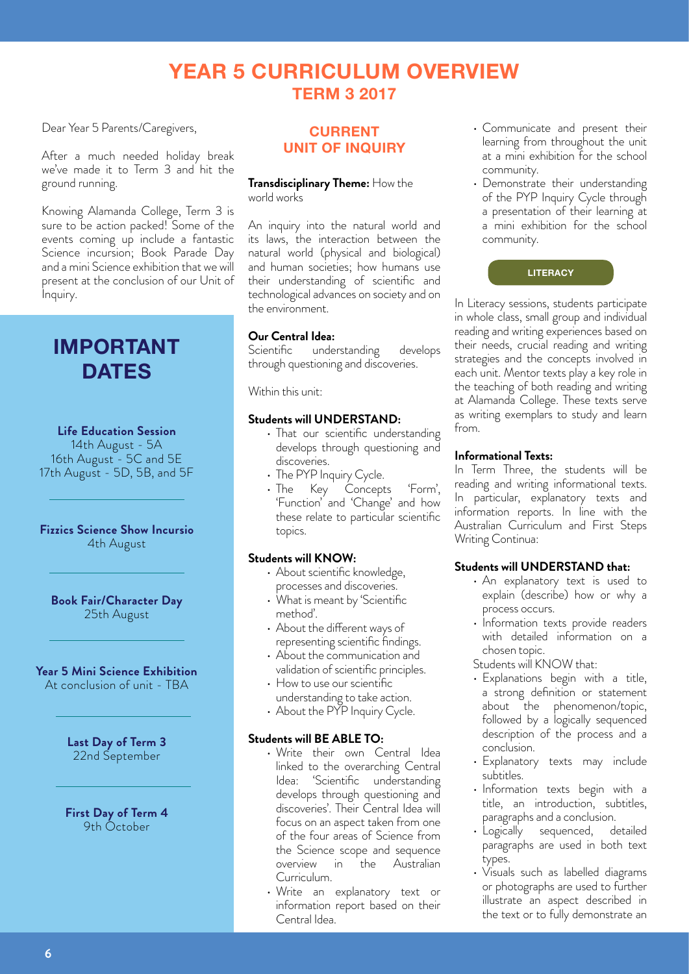# **YEAR 5 CURRICULUM OVERVIEW TERM 3 2017**

Dear Year 5 Parents/Caregivers,

After a much needed holiday break we've made it to Term 3 and hit the ground running.

Knowing Alamanda College, Term 3 is sure to be action packed! Some of the events coming up include a fantastic Science incursion; Book Parade Day and a mini Science exhibition that we will present at the conclusion of our Unit of Inquiry.

# **IMPORTANT DATES**

#### **Life Education Session**

14th August - 5A 16th August - 5C and 5E 17th August - 5D, 5B, and 5F

# **Fizzics Science Show Incursio** 4th August

**Book Fair/Character Day** 25th August

# **Year 5 Mini Science Exhibition**

At conclusion of unit - TBA

**Last Day of Term 3** 22nd September

**First Day of Term 4**  9th October

# **CURRENT UNIT OF INQUIRY**

#### **Transdisciplinary Theme:** How the world works

An inquiry into the natural world and its laws, the interaction between the natural world (physical and biological) and human societies; how humans use their understanding of scientific and technological advances on society and on the environment.

# **Our Central Idea:**

Scientific understanding develops through questioning and discoveries.

Within this unit:

#### **Students will UNDERSTAND:**

- That our scientific understanding develops through questioning and discoveries.
- The PYP Inquiry Cycle.
- The Key Concepts 'Form', 'Function' and 'Change' and how these relate to particular scientific topics.

#### **Students will KNOW:**

- About scientific knowledge, processes and discoveries.
- What is meant by 'Scientific method'.
- About the different ways of representing scientific findings.
- • About the communication and validation of scientific principles.
- How to use our scientific understanding to take action.
- About the PYP Inquiry Cycle.

# **Students will BE ABLE TO:**

- Write their own Central Idea linked to the overarching Central Idea: 'Scientific understanding develops through questioning and discoveries'. Their Central Idea will focus on an aspect taken from one of the four areas of Science from the Science scope and sequence overview in the Australian Curriculum.
- Write an explanatory text or information report based on their Central Idea.
- • Communicate and present their learning from throughout the unit at a mini exhibition for the school community.
- Demonstrate their understanding of the PYP Inquiry Cycle through a presentation of their learning at a mini exhibition for the school community.



In Literacy sessions, students participate in whole class, small group and individual reading and writing experiences based on their needs, crucial reading and writing strategies and the concepts involved in each unit. Mentor texts play a key role in the teaching of both reading and writing at Alamanda College. These texts serve as writing exemplars to study and learn from.

#### **Informational Texts:**

In Term Three, the students will be reading and writing informational texts. In particular, explanatory texts and information reports. In line with the Australian Curriculum and First Steps Writing Continua:

#### **Students will UNDERSTAND that:**

- An explanatory text is used to explain (describe) how or why a process occurs.
- Information texts provide readers with detailed information on a chosen topic.

Students will KNOW that:

- Explanations begin with a title, a strong definition or statement about the phenomenon/topic, followed by a logically sequenced description of the process and a conclusion.
- Explanatory texts may include subtitles.
- • Information texts begin with a title, an introduction, subtitles, paragraphs and a conclusion.
- Logically sequenced, detailed paragraphs are used in both text types.
- Visuals such as labelled diagrams or photographs are used to further illustrate an aspect described in the text or to fully demonstrate an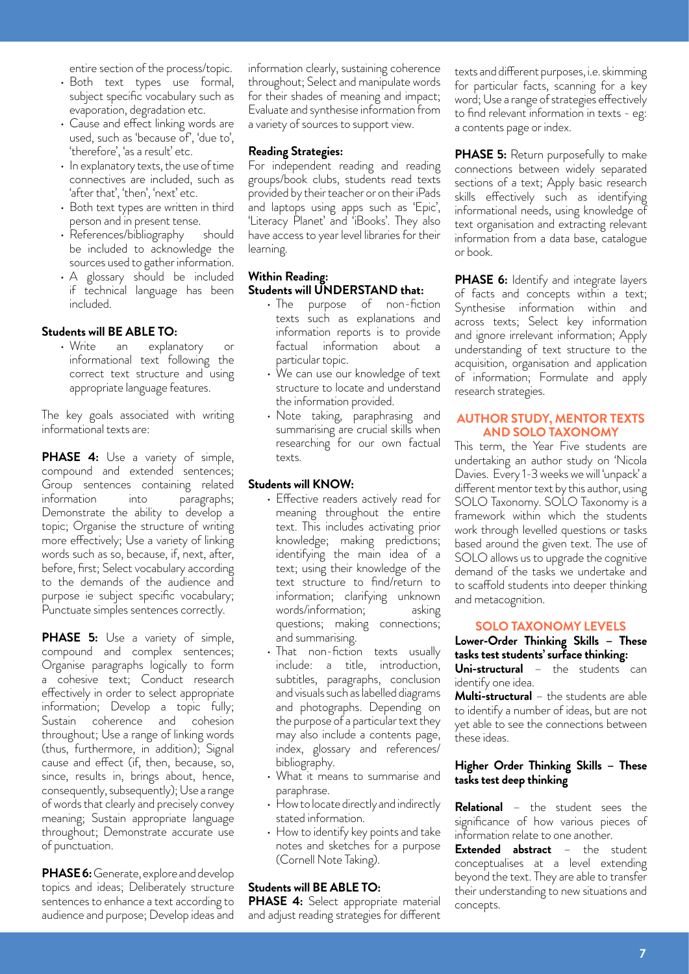entire section of the process/topic.

- Both text types use formal, subject specific vocabulary such as evaporation, degradation etc.
- Cause and effect linking words are used, such as 'because of', 'due to', 'therefore', 'as a result' etc.
- In explanatory texts, the use of time connectives are included, such as 'after that', 'then', 'next' etc.
- Both text types are written in third person and in present tense.<br>References/bibliography should
- References/bibliography be included to acknowledge the sources used to gather information.
- A glossary should be included if technical language has been included.

# **Students will BE ABLE TO:**

• Write an explanatory or informational text following the correct text structure and using appropriate language features.

The key goals associated with writing informational texts are:

**PHASE 4:** Use a variety of simple, compound and extended sentences; Group sentences containing related information into paragraphs; Demonstrate the ability to develop a topic; Organise the structure of writing more effectively; Use a variety of linking words such as so, because, if, next, after, before, first; Select vocabulary according to the demands of the audience and purpose ie subject specific vocabulary; Punctuate simples sentences correctly.

**PHASE 5:** Use a variety of simple, compound and complex sentences; Organise paragraphs logically to form a cohesive text; Conduct research effectively in order to select appropriate information; Develop a topic fully; Sustain coherence and cohesion throughout; Use a range of linking words (thus, furthermore, in addition); Signal cause and effect (if, then, because, so, since, results in, brings about, hence, consequently, subsequently); Use a range of words that clearly and precisely convey meaning; Sustain appropriate language throughout; Demonstrate accurate use of punctuation.

**PHASE 6:** Generate, explore and develop topics and ideas; Deliberately structure sentences to enhance a text according to audience and purpose; Develop ideas and

information clearly, sustaining coherence throughout; Select and manipulate words for their shades of meaning and impact; Evaluate and synthesise information from a variety of sources to support view.

# **Reading Strategies:**

For independent reading and reading groups/book clubs, students read texts provided by their teacher or on their iPads and laptops using apps such as 'Epic', 'Literacy Planet' and 'iBooks'. They also have access to year level libraries for their learning.

# **Within Reading: Students will UNDERSTAND that:**

- The purpose of non-fiction texts such as explanations and information reports is to provide factual information about a particular topic.
- We can use our knowledge of text structure to locate and understand the information provided.
- • Note taking, paraphrasing and summarising are crucial skills when researching for our own factual texts.

### **Students will KNOW:**

- Effective readers actively read for meaning throughout the entire text. This includes activating prior knowledge; making predictions; identifying the main idea of a text; using their knowledge of the text structure to find/return to information; clarifying unknown words/information; asking questions; making connections; and summarising.
- That non-fiction texts usually include: a title, introduction, subtitles, paragraphs, conclusion and visuals such as labelled diagrams and photographs. Depending on the purpose of a particular text they may also include a contents page, index, glossary and references/ bibliography.
- • What it means to summarise and paraphrase.
- How to locate directly and indirectly stated information.
- How to identify key points and take notes and sketches for a purpose (Cornell Note Taking).

#### **Students will BE ABLE TO:**

**PHASE 4:** Select appropriate material and adjust reading strategies for different texts and different purposes, i.e. skimming for particular facts, scanning for a key word; Use a range of strategies effectively to find relevant information in texts - eg: a contents page or index.

**PHASE 5:** Return purposefully to make connections between widely separated sections of a text; Apply basic research skills effectively such as identifying informational needs, using knowledge of text organisation and extracting relevant information from a data base, catalogue or book.

**PHASE 6:** Identify and integrate layers of facts and concepts within a text; Synthesise information within and across texts; Select key information and ignore irrelevant information; Apply understanding of text structure to the acquisition, organisation and application of information; Formulate and apply research strategies.

# **AUTHOR STUDY, MENTOR TEXTS AND SOLO TAXONOMY**

This term, the Year Five students are undertaking an author study on 'Nicola Davies. Every 1-3 weeks we will 'unpack' a different mentor text by this author, using SOLO Taxonomy. SOLO Taxonomy is a framework within which the students work through levelled questions or tasks based around the given text. The use of SOLO allows us to upgrade the cognitive demand of the tasks we undertake and to scaffold students into deeper thinking and metacognition.

#### **SOLO TAXONOMY LEVELS**

#### **Lower-Order Thinking Skills – These tasks test students' surface thinking: Uni-structural** – the students can

identify one idea.

**Multi-structural** – the students are able to identify a number of ideas, but are not yet able to see the connections between these ideas.

# **Higher Order Thinking Skills – These tasks test deep thinking**

**Relational** – the student sees the significance of how various pieces of information relate to one another.

**Extended abstract** – the student conceptualises at a level extending beyond the text. They are able to transfer their understanding to new situations and concepts.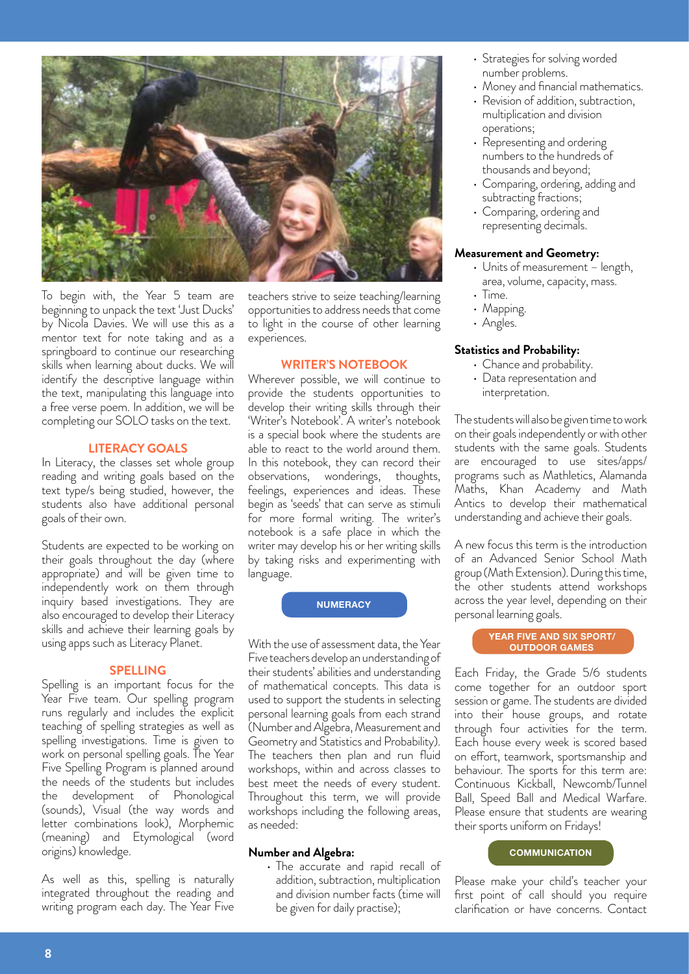

To begin with, the Year 5 team are beginning to unpack the text 'Just Ducks' by Nicola Davies. We will use this as a mentor text for note taking and as a springboard to continue our researching skills when learning about ducks. We will identify the descriptive language within the text, manipulating this language into a free verse poem. In addition, we will be completing our SOLO tasks on the text.

# **LITERACY GOALS**

In Literacy, the classes set whole group reading and writing goals based on the text type/s being studied, however, the students also have additional personal goals of their own.

Students are expected to be working on their goals throughout the day (where appropriate) and will be given time to independently work on them through inquiry based investigations. They are also encouraged to develop their Literacy skills and achieve their learning goals by using apps such as Literacy Planet.

#### **SPELLING**

Spelling is an important focus for the Year Five team. Our spelling program runs regularly and includes the explicit teaching of spelling strategies as well as spelling investigations. Time is given to work on personal spelling goals. The Year Five Spelling Program is planned around the needs of the students but includes the development of Phonological (sounds), Visual (the way words and letter combinations look), Morphemic (meaning) and Etymological (word origins) knowledge.

As well as this, spelling is naturally integrated throughout the reading and writing program each day. The Year Five teachers strive to seize teaching/learning opportunities to address needs that come to light in the course of other learning experiences.

#### **WRITER'S NOTEBOOK**

Wherever possible, we will continue to provide the students opportunities to develop their writing skills through their 'Writer's Notebook'. A writer's notebook is a special book where the students are able to react to the world around them. In this notebook, they can record their observations, wonderings, thoughts, feelings, experiences and ideas. These begin as 'seeds' that can serve as stimuli for more formal writing. The writer's notebook is a safe place in which the writer may develop his or her writing skills by taking risks and experimenting with language.

**NUMERACY**

With the use of assessment data, the Year Five teachers develop an understanding of their students' abilities and understanding of mathematical concepts. This data is used to support the students in selecting personal learning goals from each strand (Number and Algebra, Measurement and Geometry and Statistics and Probability). The teachers then plan and run fluid workshops, within and across classes to best meet the needs of every student. Throughout this term, we will provide workshops including the following areas, as needed:

#### **Number and Algebra:**

• The accurate and rapid recall of addition, subtraction, multiplication and division number facts (time will be given for daily practise);

- Strategies for solving worded number problems.
- Money and financial mathematics.
- Revision of addition, subtraction, multiplication and division operations;
- Representing and ordering numbers to the hundreds of thousands and beyond;
- • Comparing, ordering, adding and subtracting fractions;
- Comparing, ordering and representing decimals.

#### **Measurement and Geometry:**

- Units of measurement length, area, volume, capacity, mass.
- Time.
- Mapping.
- Angles.

#### **Statistics and Probability:**

- Chance and probability.
- Data representation and interpretation.

The students will also be given time to work on their goals independently or with other students with the same goals. Students are encouraged to use sites/apps/ programs such as Mathletics, Alamanda Maths, Khan Academy and Math Antics to develop their mathematical understanding and achieve their goals.

A new focus this term is the introduction of an Advanced Senior School Math group (Math Extension). During this time, the other students attend workshops across the year level, depending on their personal learning goals.

#### **YEAR FIVE AND SIX SPORT/ OUTDOOR GAMES**

Each Friday, the Grade 5/6 students come together for an outdoor sport session or game. The students are divided into their house groups, and rotate through four activities for the term. Each house every week is scored based on effort, teamwork, sportsmanship and behaviour. The sports for this term are: Continuous Kickball, Newcomb/Tunnel Ball, Speed Ball and Medical Warfare. Please ensure that students are wearing their sports uniform on Fridays!

#### **COMMUNICATION**

Please make your child's teacher your first point of call should you require clarification or have concerns. Contact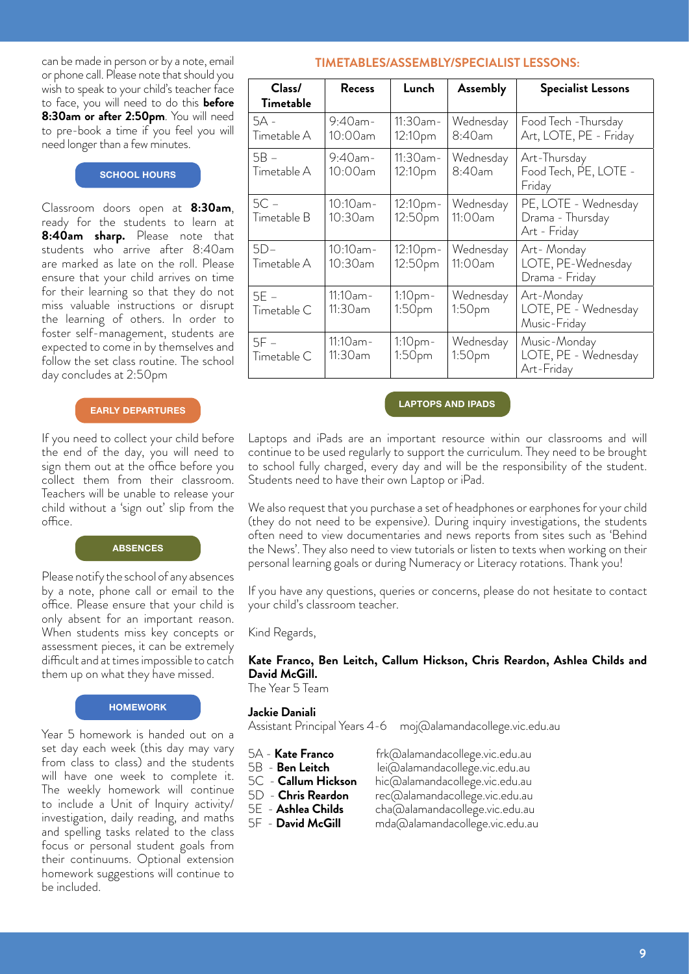or phone call. Please note that should you wish to speak to your child's teacher face to face, you will need to do this **before 8:30am or after 2:50pm**. You will need to pre-book a time if you feel you will need longer than a few minutes.

#### **SCHOOL HOURS**

Classroom doors open at **8:30am**, ready for the students to learn at **8:40am sharp.** Please note that students who arrive after 8:40am are marked as late on the roll. Please ensure that your child arrives on time for their learning so that they do not miss valuable instructions or disrupt the learning of others. In order to foster self-management, students are expected to come in by themselves and follow the set class routine. The school day concludes at 2:50pm

#### **EARLY DEPARTURES**

If you need to collect your child before the end of the day, you will need to sign them out at the office before you collect them from their classroom. Teachers will be unable to release your child without a 'sign out' slip from the office.

#### **ABSENCES**

Please notify the school of any absences by a note, phone call or email to the office. Please ensure that your child is only absent for an important reason. When students miss key concepts or assessment pieces, it can be extremely difficult and at times impossible to catch them up on what they have missed.

#### **HOMEWORK**

Year 5 homework is handed out on a set day each week (this day may vary from class to class) and the students will have one week to complete it. The weekly homework will continue to include a Unit of Inquiry activity/ investigation, daily reading, and maths and spelling tasks related to the class focus or personal student goals from their continuums. Optional extension homework suggestions will continue to be included.

# can be made in person or by a note, email **TIMETABLES/ASSEMBLY/SPECIALIST LESSONS:**

| Class/<br>Timetable   | <b>Recess</b>             | Lunch                                    | Assembly             | <b>Specialist Lessons</b>                                |  |
|-----------------------|---------------------------|------------------------------------------|----------------------|----------------------------------------------------------|--|
| $5A -$<br>Timetable A | $9:40$ am-<br>$10:00$ am  | $11:30$ am-<br>12:10pm                   | Wednesday<br>8:40am  | Food Tech - Thursday<br>Art, LOTE, PE - Friday           |  |
| $5B -$<br>Timetable A | $9:40$ am-<br>$10:00$ am  | $11:30$ am-<br>12:10pm                   | Wednesday<br>8:40am  | Art-Thursday<br>Food Tech, PE, LOTE -<br>Friday          |  |
| $5C -$<br>Timetable B | $10:10$ am-<br>$10:30$ am | 12:10pm-<br>12:50pm                      | Wednesday<br>11:00am | PE, LOTE - Wednesday<br>Drama - Thursday<br>Art - Friday |  |
| $5D-$<br>Timetable A  | $10:10$ am-<br>10:30am    | 12:10pm-<br>12:50pm                      | Wednesday<br>11:00am | Art-Monday<br>LOTE, PE-Wednesday<br>Drama - Friday       |  |
| $5E -$<br>Timetable C | $11:10$ am-<br>$11:30$ am | 1:10 <sub>pm</sub><br>1:50 <sub>pm</sub> | Wednesday<br>1:50pm  | Art-Monday<br>LOTE, PE - Wednesday<br>Music-Friday       |  |
| $5F -$<br>Timetable C | $11:10$ am-<br>$11:30$ am | $1:10$ pm -<br>1:50pm                    | Wednesday<br>1:50pm  | Music-Monday<br>LOTE, PE - Wednesday<br>Art-Friday       |  |

#### **LAPTOPS AND IPADS**

Laptops and iPads are an important resource within our classrooms and will continue to be used regularly to support the curriculum. They need to be brought to school fully charged, every day and will be the responsibility of the student. Students need to have their own Laptop or iPad.

We also request that you purchase a set of headphones or earphones for your child (they do not need to be expensive). During inquiry investigations, the students often need to view documentaries and news reports from sites such as 'Behind the News'. They also need to view tutorials or listen to texts when working on their personal learning goals or during Numeracy or Literacy rotations. Thank you!

If you have any questions, queries or concerns, please do not hesitate to contact your child's classroom teacher.

Kind Regards,

# **Kate Franco, Ben Leitch, Callum Hickson, Chris Reardon, Ashlea Childs and David McGill.**

The Year 5 Team

#### **Jackie Daniali**

Assistant Principal Years 4-6 moj@alamandacollege.vic.edu.au

- 5A **Kate Franco** frk@alamandacollege.vic.edu.au
- 
- 
- 5C **Callum Hickson** hic@alamandacollege.vic.edu.au

lei@alamandacollege.vic.edu.au

- 5D **Chris Reardon** rec@alamandacollege.vic.edu.au
- 5E **Ashlea Childs** cha@alamandacollege.vic.edu.au
- 5F **David McGill** mda@alamandacollege.vic.edu.au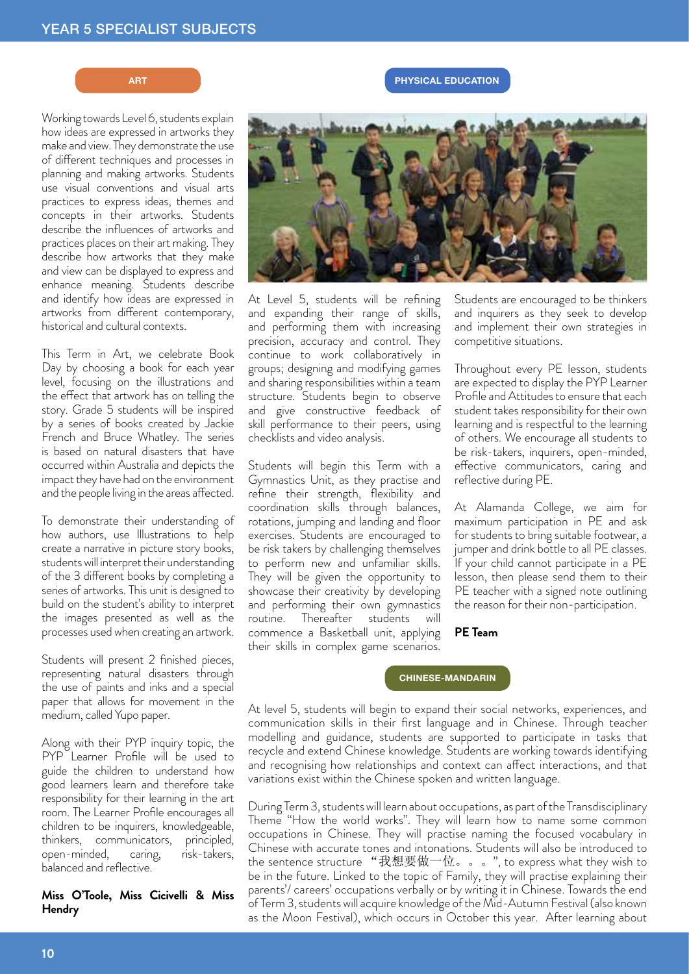Working towards Level 6, students explain how ideas are expressed in artworks they make and view. They demonstrate the use of different techniques and processes in planning and making artworks. Students use visual conventions and visual arts practices to express ideas, themes and concepts in their artworks. Students describe the influences of artworks and practices places on their art making. They describe how artworks that they make and view can be displayed to express and enhance meaning. Students describe and identify how ideas are expressed in artworks from different contemporary, historical and cultural contexts.

This Term in Art, we celebrate Book Day by choosing a book for each year level, focusing on the illustrations and the effect that artwork has on telling the story. Grade 5 students will be inspired by a series of books created by Jackie French and Bruce Whatley. The series is based on natural disasters that have occurred within Australia and depicts the impact they have had on the environment and the people living in the areas affected.

To demonstrate their understanding of how authors, use Illustrations to help create a narrative in picture story books, students will interpret their understanding of the 3 different books by completing a series of artworks. This unit is designed to build on the student's ability to interpret the images presented as well as the processes used when creating an artwork.

Students will present 2 finished pieces, representing natural disasters through the use of paints and inks and a special paper that allows for movement in the medium, called Yupo paper.

Along with their PYP inquiry topic, the PYP Learner Profile will be used to guide the children to understand how good learners learn and therefore take responsibility for their learning in the art room. The Learner Profile encourages all children to be inquirers, knowledgeable, thinkers, communicators, principled, open-minded, caring, risk-takers, balanced and reflective.

**Miss O'Toole, Miss Cicivelli & Miss Hendry**

At Level 5, students will be refining and expanding their range of skills, and performing them with increasing precision, accuracy and control. They continue to work collaboratively in

groups; designing and modifying games and sharing responsibilities within a team structure. Students begin to observe and give constructive feedback of skill performance to their peers, using checklists and video analysis.

Students will begin this Term with a Gymnastics Unit, as they practise and refine their strength, flexibility and coordination skills through balances, rotations, jumping and landing and floor exercises. Students are encouraged to be risk takers by challenging themselves to perform new and unfamiliar skills. They will be given the opportunity to showcase their creativity by developing and performing their own gymnastics routine. Thereafter students will commence a Basketball unit, applying their skills in complex game scenarios.

Students are encouraged to be thinkers and inquirers as they seek to develop and implement their own strategies in competitive situations.

Throughout every PE lesson, students are expected to display the PYP Learner Profile and Attitudes to ensure that each student takes responsibility for their own learning and is respectful to the learning of others. We encourage all students to be risk-takers, inquirers, open-minded, effective communicators, caring and reflective during PE.

At Alamanda College, we aim for maximum participation in PE and ask for students to bring suitable footwear, a jumper and drink bottle to all PE classes. If your child cannot participate in a PE lesson, then please send them to their PE teacher with a signed note outlining the reason for their non-participation.

# **PE Team**

#### **CHINESE-MANDARIN**

At level 5, students will begin to expand their social networks, experiences, and communication skills in their first language and in Chinese. Through teacher modelling and guidance, students are supported to participate in tasks that recycle and extend Chinese knowledge. Students are working towards identifying and recognising how relationships and context can affect interactions, and that variations exist within the Chinese spoken and written language.

During Term 3, students will learn about occupations, as part of the Transdisciplinary Theme "How the world works". They will learn how to name some common occupations in Chinese. They will practise naming the focused vocabulary in Chinese with accurate tones and intonations. Students will also be introduced to the sentence structure "我想要做一位。。。", to express what they wish to be in the future. Linked to the topic of Family, they will practise explaining their parents'/ careers' occupations verbally or by writing it in Chinese. Towards the end of Term 3, students will acquire knowledge of the Mid-Autumn Festival (also known as the Moon Festival), which occurs in October this year. After learning about



**ART PHYSICAL EDUCATION**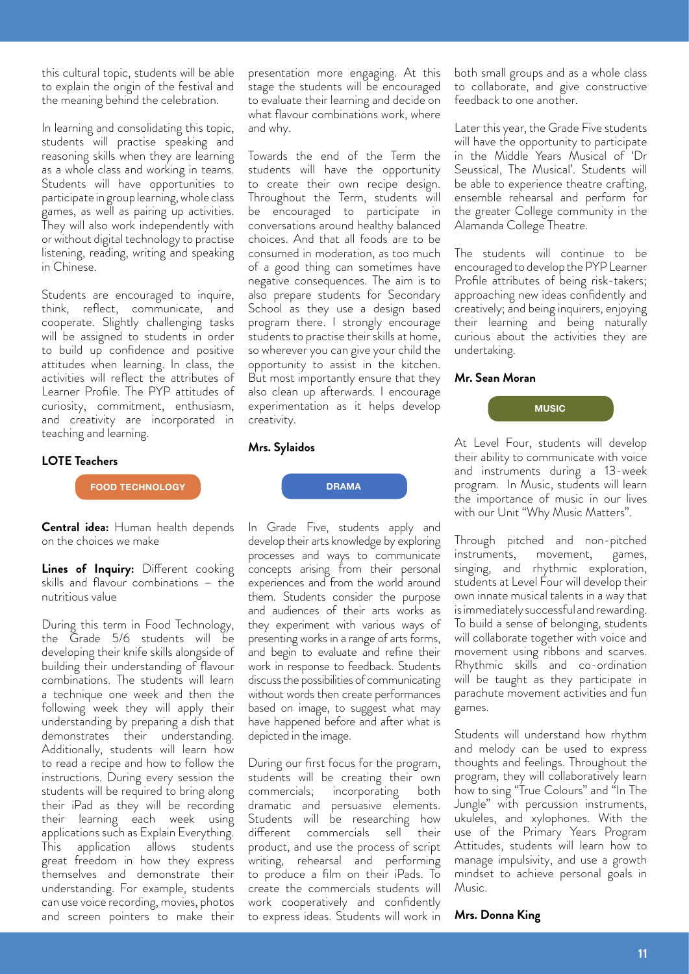this cultural topic, students will be able to explain the origin of the festival and the meaning behind the celebration.

In learning and consolidating this topic, students will practise speaking and reasoning skills when they are learning as a whole class and working in teams. Students will have opportunities to participate in group learning, whole class games, as well as pairing up activities. They will also work independently with or without digital technology to practise listening, reading, writing and speaking in Chinese.

Students are encouraged to inquire, think, reflect, communicate, and cooperate. Slightly challenging tasks will be assigned to students in order to build up confidence and positive attitudes when learning. In class, the activities will reflect the attributes of Learner Profile. The PYP attitudes of curiosity, commitment, enthusiasm, and creativity are incorporated in teaching and learning.

#### **LOTE Teachers**

**FOOD TECHNOLOGY**

**Central idea:** Human health depends on the choices we make

**Lines of Inquiry:** Different cooking skills and flavour combinations – the nutritious value

During this term in Food Technology, the Grade 5/6 students will be developing their knife skills alongside of building their understanding of flavour combinations. The students will learn a technique one week and then the following week they will apply their understanding by preparing a dish that demonstrates their understanding. Additionally, students will learn how to read a recipe and how to follow the instructions. During every session the students will be required to bring along their iPad as they will be recording their learning each week using applications such as Explain Everything. This application allows students great freedom in how they express themselves and demonstrate their understanding. For example, students can use voice recording, movies, photos and screen pointers to make their

presentation more engaging. At this stage the students will be encouraged to evaluate their learning and decide on what flavour combinations work, where and why.

Towards the end of the Term the students will have the opportunity to create their own recipe design. Throughout the Term, students will be encouraged to participate in conversations around healthy balanced choices. And that all foods are to be consumed in moderation, as too much of a good thing can sometimes have negative consequences. The aim is to also prepare students for Secondary School as they use a design based program there. I strongly encourage students to practise their skills at home, so wherever you can give your child the opportunity to assist in the kitchen. But most importantly ensure that they also clean up afterwards. I encourage experimentation as it helps develop creativity.

# **Mrs. Sylaidos**

In Grade Five, students apply and develop their arts knowledge by exploring processes and ways to communicate concepts arising from their personal experiences and from the world around them. Students consider the purpose and audiences of their arts works as they experiment with various ways of presenting works in a range of arts forms, and begin to evaluate and refine their work in response to feedback. Students discuss the possibilities of communicating without words then create performances based on image, to suggest what may have happened before and after what is depicted in the image.

**DRAMA**

During our first focus for the program, students will be creating their own commercials; incorporating both dramatic and persuasive elements. Students will be researching how different commercials sell their product, and use the process of script writing, rehearsal and performing to produce a film on their iPads. To create the commercials students will work cooperatively and confidently to express ideas. Students will work in both small groups and as a whole class to collaborate, and give constructive feedback to one another.

Later this year, the Grade Five students will have the opportunity to participate in the Middle Years Musical of 'Dr Seussical, The Musical'. Students will be able to experience theatre crafting, ensemble rehearsal and perform for the greater College community in the Alamanda College Theatre.

The students will continue to be encouraged to develop the PYP Learner Profile attributes of being risk-takers; approaching new ideas confidently and creatively; and being inquirers, enjoying their learning and being naturally curious about the activities they are undertaking.

#### **Mr. Sean Moran**



At Level Four, students will develop their ability to communicate with voice and instruments during a 13-week program. In Music, students will learn the importance of music in our lives with our Unit "Why Music Matters".

Through pitched and non-pitched instruments, movement, games, singing, and rhythmic exploration, students at Level Four will develop their own innate musical talents in a way that is immediately successful and rewarding. To build a sense of belonging, students will collaborate together with voice and movement using ribbons and scarves. Rhythmic skills and co-ordination will be taught as they participate in parachute movement activities and fun games.

Students will understand how rhythm and melody can be used to express thoughts and feelings. Throughout the program, they will collaboratively learn how to sing "True Colours" and "In The Jungle" with percussion instruments, ukuleles, and xylophones. With the use of the Primary Years Program Attitudes, students will learn how to manage impulsivity, and use a growth mindset to achieve personal goals in Music.

#### **Mrs. Donna King**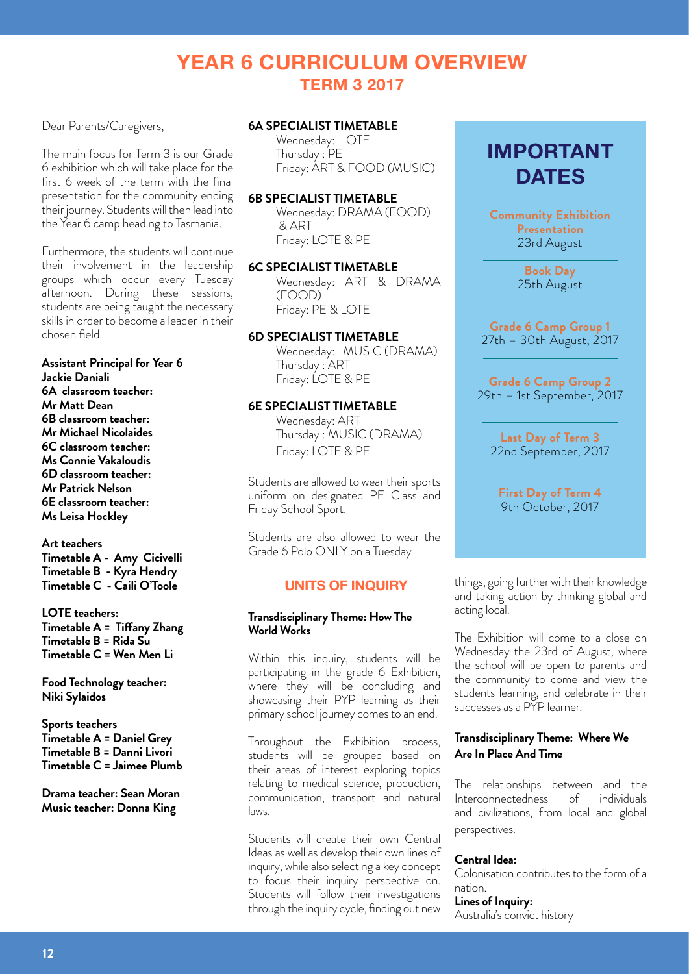# **YEAR 6 CURRICULUM OVERVIEW TERM 3 2017**

Dear Parents/Caregivers,

The main focus for Term 3 is our Grade 6 exhibition which will take place for the first 6 week of the term with the final presentation for the community ending their journey. Students will then lead into the Year 6 camp heading to Tasmania.

Furthermore, the students will continue their involvement in the leadership groups which occur every Tuesday afternoon. During these sessions, students are being taught the necessary skills in order to become a leader in their chosen field.

# **Assistant Principal for Year 6**

**Jackie Daniali 6A classroom teacher: Mr Matt Dean 6B classroom teacher: Mr Michael Nicolaides 6C classroom teacher: Ms Connie Vakaloudis 6D classroom teacher: Mr Patrick Nelson 6E classroom teacher: Ms Leisa Hockley** 

# **Art teachers**

**Timetable A - Amy Cicivelli Timetable B - Kyra Hendry Timetable C - Caili O'Toole** 

#### **LOTE teachers:**

**Timetable A = Tiffany Zhang Timetable B = Rida Su Timetable C = Wen Men Li**

**Food Technology teacher: Niki Sylaidos**

**Sports teachers Timetable A = Daniel Grey Timetable B = Danni Livori Timetable C = Jaimee Plumb**

**Drama teacher: Sean Moran Music teacher: Donna King**

# **6A SPECIALIST TIMETABLE**

Wednesday: LOTE Thursday : PE Friday: ART & FOOD (MUSIC)

### **6B SPECIALIST TIMETABLE**

Wednesday: DRAMA (FOOD) & ART Friday: LOTE & PE

# **6C SPECIALIST TIMETABLE**

Wednesday: ART & DRAMA (FOOD) Friday: PE & LOTE

# **6D SPECIALIST TIMETABLE**

Wednesday: MUSIC (DRAMA) Thursday : ART Friday: LOTE & PE

# **6E SPECIALIST TIMETABLE**

Wednesday: ART Thursday : MUSIC (DRAMA) Friday: LOTE & PE

Students are allowed to wear their sports uniform on designated PE Class and Friday School Sport.

Students are also allowed to wear the Grade 6 Polo ONLY on a Tuesday

# **UNITS OF INQUIRY**

# **Transdisciplinary Theme: How The World Works**

Within this inquiry, students will be participating in the grade 6 Exhibition, where they will be concluding and showcasing their PYP learning as their primary school journey comes to an end.

Throughout the Exhibition process, students will be grouped based on their areas of interest exploring topics relating to medical science, production, communication, transport and natural laws.

Students will create their own Central Ideas as well as develop their own lines of inquiry, while also selecting a key concept to focus their inquiry perspective on. Students will follow their investigations through the inquiry cycle, finding out new

# **IMPORTANT DATES**

**Community Exhibition Presentation** 23rd August

> **Book Day** 25th August

**Grade 6 Camp Group 1** 27th – 30th August, 2017

**Grade 6 Camp Group 2** 29th – 1st September, 2017

**Last Day of Term 3**  22nd September, 2017

**First Day of Term 4**  9th October, 2017

things, going further with their knowledge and taking action by thinking global and acting local.

The Exhibition will come to a close on Wednesday the 23rd of August, where the school will be open to parents and the community to come and view the students learning, and celebrate in their successes as a PYP learner.

# **Transdisciplinary Theme: Where We Are In Place And Time**

The relationships between and the Interconnectedness of individuals and civilizations, from local and global perspectives.

#### **Central Idea:**

Colonisation contributes to the form of a nation.

# **Lines of Inquiry:**

Australia's convict history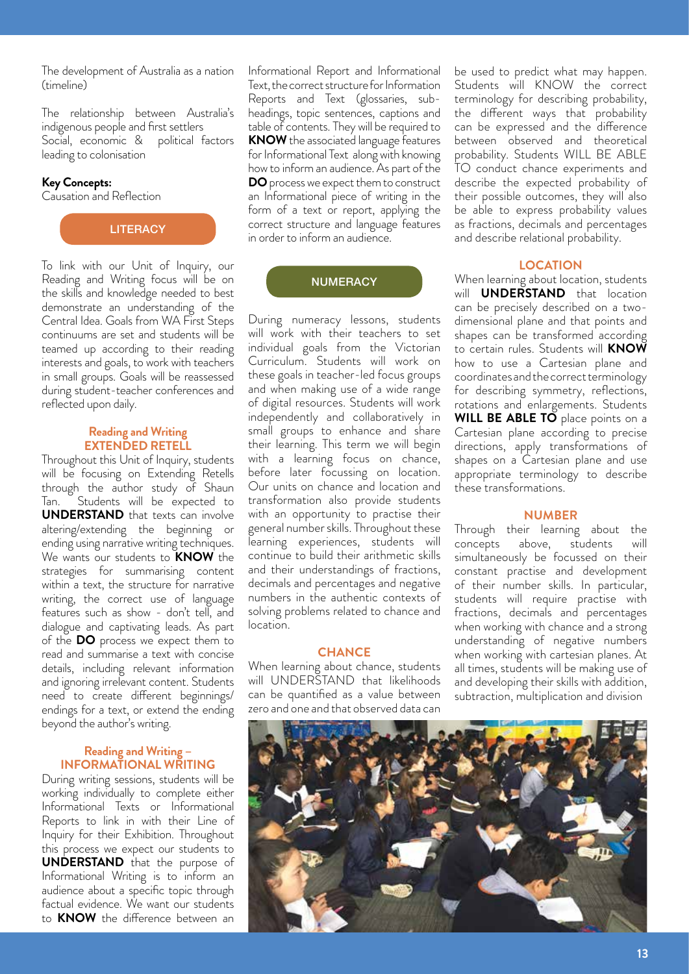The development of Australia as a nation (timeline)

The relationship between Australia's indigenous people and first settlers Social, economic & political factors leading to colonisation

#### **Key Concepts:**

Causation and Reflection

**LITERACY** 

To link with our Unit of Inquiry, our Reading and Writing focus will be on the skills and knowledge needed to best demonstrate an understanding of the Central Idea. Goals from WA First Steps continuums are set and students will be teamed up according to their reading interests and goals, to work with teachers in small groups. Goals will be reassessed during student-teacher conferences and reflected upon daily.

#### **Reading and Writing EXTENDED RETELL**

Throughout this Unit of Inquiry, students will be focusing on Extending Retells through the author study of Shaun Tan. Students will be expected to **UNDERSTAND** that texts can involve altering/extending the beginning or ending using narrative writing techniques. We wants our students to **KNOW** the strategies for summarising content within a text, the structure for narrative writing, the correct use of language features such as show - don't tell, and dialogue and captivating leads. As part of the **DO** process we expect them to read and summarise a text with concise details, including relevant information and ignoring irrelevant content. Students need to create different beginnings/ endings for a text, or extend the ending beyond the author's writing.

### **Reading and Writing – INFORMATIONAL WRITING**

During writing sessions, students will be working individually to complete either Informational Texts or Informational Reports to link in with their Line of Inquiry for their Exhibition. Throughout this process we expect our students to **UNDERSTAND** that the purpose of Informational Writing is to inform an audience about a specific topic through factual evidence. We want our students to **KNOW** the difference between an

Informational Report and Informational Text, the correct structure for Information Reports and Text (glossaries, subheadings, topic sentences, captions and table of contents. They will be required to **KNOW** the associated language features for Informational Text along with knowing how to inform an audience. As part of the **DO** process we expect them to construct an Informational piece of writing in the form of a text or report, applying the correct structure and language features in order to inform an audience.

#### **NUMERACY**

During numeracy lessons, students will work with their teachers to set individual goals from the Victorian Curriculum. Students will work on these goals in teacher-led focus groups and when making use of a wide range of digital resources. Students will work independently and collaboratively in small groups to enhance and share their learning. This term we will begin with a learning focus on chance, before later focussing on location. Our units on chance and location and transformation also provide students with an opportunity to practise their general number skills. Throughout these learning experiences, students will continue to build their arithmetic skills and their understandings of fractions, decimals and percentages and negative numbers in the authentic contexts of solving problems related to chance and location.

#### **CHANCE**

When learning about chance, students will UNDERSTAND that likelihoods can be quantified as a value between zero and one and that observed data can

be used to predict what may happen. Students will KNOW the correct terminology for describing probability, the different ways that probability can be expressed and the difference between observed and theoretical probability. Students WILL BE ABLE TO conduct chance experiments and describe the expected probability of their possible outcomes, they will also be able to express probability values as fractions, decimals and percentages and describe relational probability.

#### **LOCATION**

When learning about location, students will **UNDERSTAND** that location can be precisely described on a twodimensional plane and that points and shapes can be transformed according to certain rules. Students will **KNOW**  how to use a Cartesian plane and coordinates and the correct terminology for describing symmetry, reflections, rotations and enlargements. Students WILL BE ABLE TO place points on a Cartesian plane according to precise directions, apply transformations of shapes on a Cartesian plane and use appropriate terminology to describe these transformations.

#### **NUMBER**

Through their learning about the concepts above, students will simultaneously be focussed on their constant practise and development of their number skills. In particular, students will require practise with fractions, decimals and percentages when working with chance and a strong understanding of negative numbers when working with cartesian planes. At all times, students will be making use of and developing their skills with addition, subtraction, multiplication and division

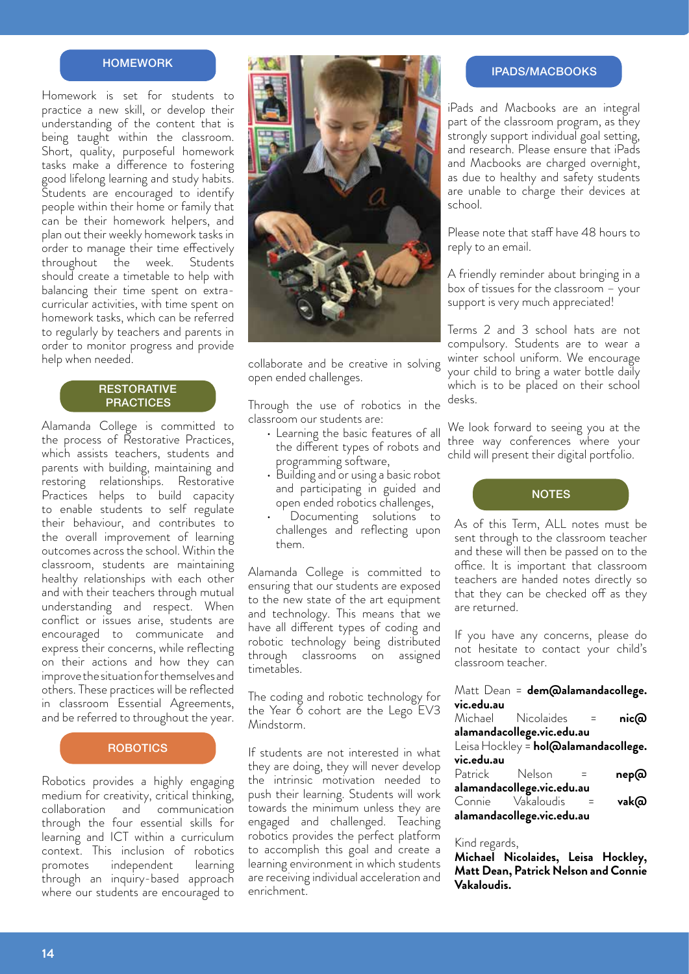# **HOMEWORK**

Homework is set for students to practice a new skill, or develop their understanding of the content that is being taught within the classroom. Short, quality, purposeful homework tasks make a difference to fostering good lifelong learning and study habits. Students are encouraged to identify people within their home or family that can be their homework helpers, and plan out their weekly homework tasks in order to manage their time effectively throughout the week. Students should create a timetable to help with balancing their time spent on extracurricular activities, with time spent on homework tasks, which can be referred to regularly by teachers and parents in order to monitor progress and provide help when needed.

# **RESTORATIVE PRACTICES**

Alamanda College is committed to the process of Restorative Practices, which assists teachers, students and parents with building, maintaining and restoring relationships. Restorative Practices helps to build capacity to enable students to self regulate their behaviour, and contributes to the overall improvement of learning outcomes across the school. Within the classroom, students are maintaining healthy relationships with each other and with their teachers through mutual understanding and respect. When conflict or issues arise, students are encouraged to communicate and express their concerns, while reflecting on their actions and how they can improve the situation for themselves and others. These practices will be reflected in classroom Essential Agreements, and be referred to throughout the year.

# **ROBOTICS**

Robotics provides a highly engaging medium for creativity, critical thinking, collaboration and communication through the four essential skills for learning and ICT within a curriculum context. This inclusion of robotics promotes independent learning through an inquiry-based approach where our students are encouraged to



collaborate and be creative in solving open ended challenges.

Through the use of robotics in the classroom our students are:

- Learning the basic features of all the different types of robots and programming software,
- Building and or using a basic robot and participating in guided and open ended robotics challenges,
- Documenting solutions to challenges and reflecting upon them.

Alamanda College is committed to ensuring that our students are exposed to the new state of the art equipment and technology. This means that we have all different types of coding and robotic technology being distributed through classrooms on assigned timetables.

The coding and robotic technology for the Year 6 cohort are the Lego EV3 Mindstorm.

If students are not interested in what they are doing, they will never develop the intrinsic motivation needed to push their learning. Students will work towards the minimum unless they are engaged and challenged. Teaching robotics provides the perfect platform to accomplish this goal and create a learning environment in which students are receiving individual acceleration and enrichment.

#### IPADS/MACBOOKS

iPads and Macbooks are an integral part of the classroom program, as they strongly support individual goal setting, and research. Please ensure that iPads and Macbooks are charged overnight, as due to healthy and safety students are unable to charge their devices at school.

Please note that staff have 48 hours to reply to an email.

A friendly reminder about bringing in a box of tissues for the classroom – your support is very much appreciated!

Terms 2 and 3 school hats are not compulsory. Students are to wear a winter school uniform. We encourage your child to bring a water bottle daily which is to be placed on their school desks.

We look forward to seeing you at the three way conferences where your child will present their digital portfolio.



As of this Term, ALL notes must be sent through to the classroom teacher and these will then be passed on to the office. It is important that classroom teachers are handed notes directly so that they can be checked off as they are returned.

If you have any concerns, please do not hesitate to contact your child's classroom teacher.

|                                      | Matt Dean = dem@alamandacollege. |              |      |  |  |  |
|--------------------------------------|----------------------------------|--------------|------|--|--|--|
| vic.edu.au                           |                                  |              |      |  |  |  |
|                                      | Michael Nicolaides =             |              | nic@ |  |  |  |
|                                      | alamandacollege.vic.edu.au       |              |      |  |  |  |
| Leisa Hockley = hol@alamandacollege. |                                  |              |      |  |  |  |
| vic.edu.au                           |                                  |              |      |  |  |  |
| Patrick Nelson                       |                                  | $\sim$ $\pm$ | nep@ |  |  |  |
|                                      | alamandacollege.vic.edu.au       |              |      |  |  |  |
| Connie Vakaloudis                    |                                  |              | vak@ |  |  |  |
| alamandacollege.vic.edu.au           |                                  |              |      |  |  |  |

#### Kind regards,

**Michael Nicolaides, Leisa Hockley, Matt Dean, Patrick Nelson and Connie Vakaloudis.**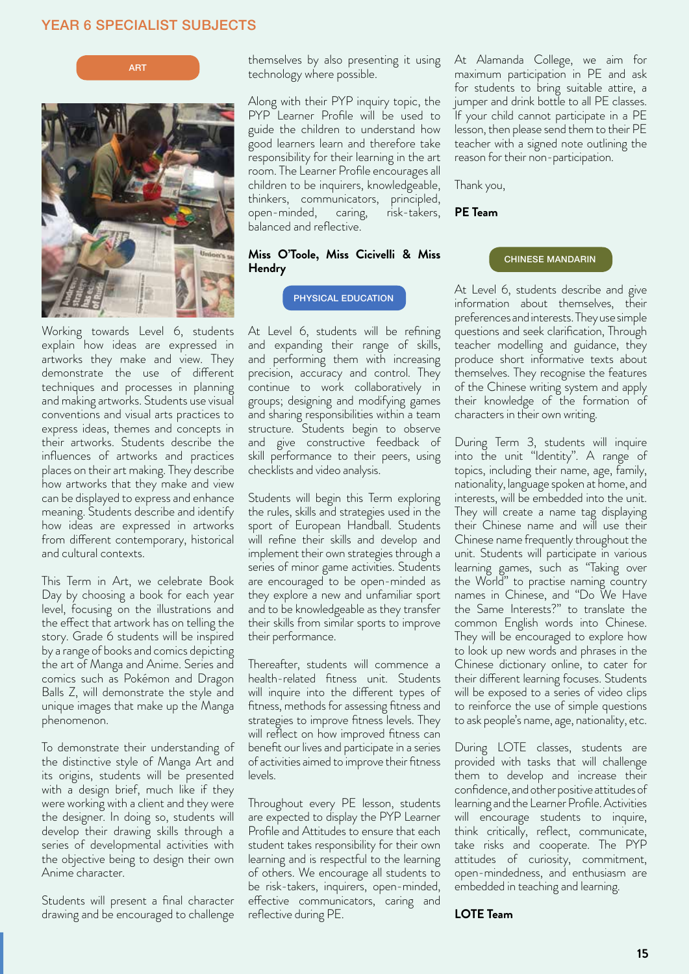# YEAR 6 SPECIALIST SUBJECTS





Working towards Level 6, students explain how ideas are expressed in artworks they make and view. They demonstrate the use of different techniques and processes in planning and making artworks. Students use visual conventions and visual arts practices to express ideas, themes and concepts in their artworks. Students describe the influences of artworks and practices places on their art making. They describe how artworks that they make and view can be displayed to express and enhance meaning. Students describe and identify how ideas are expressed in artworks from different contemporary, historical and cultural contexts.

This Term in Art, we celebrate Book Day by choosing a book for each year level, focusing on the illustrations and the effect that artwork has on telling the story. Grade 6 students will be inspired by a range of books and comics depicting the art of Manga and Anime. Series and comics such as Pokémon and Dragon Balls Z, will demonstrate the style and unique images that make up the Manga phenomenon.

To demonstrate their understanding of the distinctive style of Manga Art and its origins, students will be presented with a design brief, much like if they were working with a client and they were the designer. In doing so, students will develop their drawing skills through a series of developmental activities with the objective being to design their own Anime character.

Students will present a final character drawing and be encouraged to challenge

themselves by also presenting it using technology where possible.

Along with their PYP inquiry topic, the PYP Learner Profile will be used to guide the children to understand how good learners learn and therefore take responsibility for their learning in the art room. The Learner Profile encourages all children to be inquirers, knowledgeable, thinkers, communicators, principled, open-minded, caring, risk-takers, balanced and reflective.

# **Miss O'Toole, Miss Cicivelli & Miss Hendry**

At Level 6, students will be refining and expanding their range of skills, and performing them with increasing precision, accuracy and control. They continue to work collaboratively in groups; designing and modifying games and sharing responsibilities within a team structure. Students begin to observe and give constructive feedback of skill performance to their peers, using checklists and video analysis.

Students will begin this Term exploring the rules, skills and strategies used in the sport of European Handball. Students will refine their skills and develop and implement their own strategies through a series of minor game activities. Students are encouraged to be open-minded as they explore a new and unfamiliar sport and to be knowledgeable as they transfer their skills from similar sports to improve their performance.

Thereafter, students will commence a health-related fitness unit. Students will inquire into the different types of fitness, methods for assessing fitness and strategies to improve fitness levels. They will reflect on how improved fitness can benefit our lives and participate in a series of activities aimed to improve their fitness levels.

Throughout every PE lesson, students are expected to display the PYP Learner Profile and Attitudes to ensure that each student takes responsibility for their own learning and is respectful to the learning of others. We encourage all students to be risk-takers, inquirers, open-minded, effective communicators, caring and reflective during PE.

At Alamanda College, we aim for maximum participation in PE and ask for students to bring suitable attire, a jumper and drink bottle to all PE classes. If your child cannot participate in a PE lesson, then please send them to their PE teacher with a signed note outlining the reason for their non-participation.

Thank you,

**PE Team** 

#### CHINESE MANDARIN

PHYSICAL EDUCATION At Level 6, students describe and give information about themselves, their preferences and interests. They use simple questions and seek clarification, Through teacher modelling and guidance, they produce short informative texts about themselves. They recognise the features of the Chinese writing system and apply their knowledge of the formation of characters in their own writing.

> During Term 3, students will inquire into the unit "Identity". A range of topics, including their name, age, family, nationality, language spoken at home, and interests, will be embedded into the unit. They will create a name tag displaying their Chinese name and will use their Chinese name frequently throughout the unit. Students will participate in various learning games, such as "Taking over the World" to practise naming country names in Chinese, and "Do We Have the Same Interests?" to translate the common English words into Chinese. They will be encouraged to explore how to look up new words and phrases in the Chinese dictionary online, to cater for their different learning focuses. Students will be exposed to a series of video clips to reinforce the use of simple questions to ask people's name, age, nationality, etc.

> During LOTE classes, students are provided with tasks that will challenge them to develop and increase their confidence, and other positive attitudes of learning and the Learner Profile. Activities will encourage students to inquire, think critically, reflect, communicate, take risks and cooperate. The PYP attitudes of curiosity, commitment, open-mindedness, and enthusiasm are embedded in teaching and learning.

#### **LOTE Team**